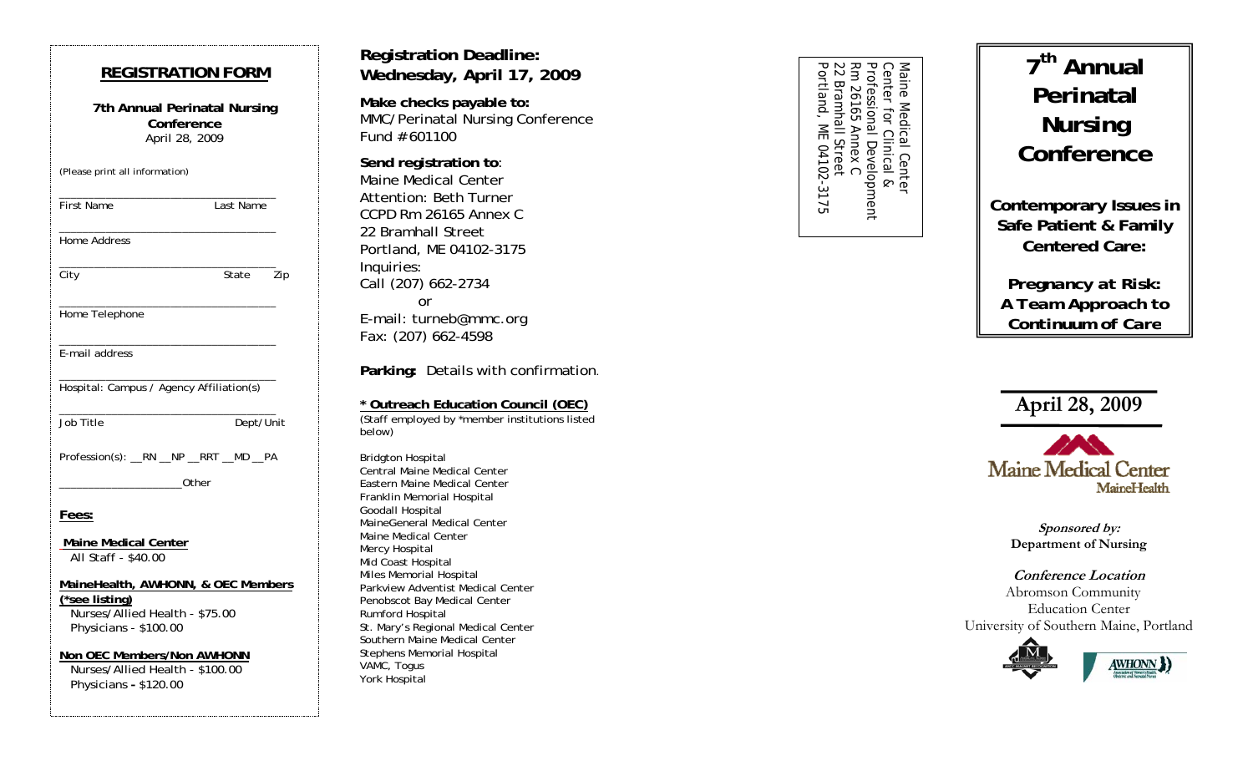# **REGISTRATION FORM**

**7th Annual Perinatal Nursing Conference** April 28, 2009

| (Please print all information)                     |           |     |
|----------------------------------------------------|-----------|-----|
| <b>First Name</b>                                  | Last Name |     |
| Home Address                                       |           |     |
| City                                               | State     | Zip |
| Home Telephone                                     |           |     |
| <b>F-mail address</b>                              |           |     |
| Hospital: Campus / Agency Affiliation(s)           |           |     |
| Job Title                                          | Dept/Unit |     |
| Profession(s): __RN __NP __RRT __MD __PA           |           |     |
|                                                    | Other     |     |
| Fees:                                              |           |     |
| <b>Maine Medical Center</b><br>All Staff - \$40.00 |           |     |

**MaineHealth, AWHONN, & OEC Members (\*see listing)** Nurses/Allied Health - \$75.00 Physicians - \$100.00

**Registration Deadline: Non OEC Members/Non AWHONN**Nurses/Allied Health - \$100.00 Physicians **-** \$120.00

# **Registration Deadline: Wednesday, April 17, 2009**

**Make checks payable to:**  MMC/Perinatal Nursing Conference Fund # 601100

**Send registration to**: Maine Medical Center Attention: Beth Turner CCPD Rm 26165 Annex C 22 Bramhall Street Portland, ME 04102-3175 Inquiries: Call (207) 662-2734 or E-mail: turneb@mmc.org Fax: (207) 662-4598

**Parking:** Details with confirmation.

**\* Outreach Education Council (OEC)** (Staff employed by \*member institutions listed below)

Bridgton Hospital Central Maine Medical Center Eastern Maine Medical Center Franklin Memorial Hospital Goodall Hospital MaineGeneral Medical Center Maine Medical Center Mercy Hospital Mid Coast Hospital Miles Memorial Hospital Parkview Adventist Medical Center Penobscot Bay Medical Center Rumford Hospital St. Mary's Regional Medical Center Southern Maine Medical Center Stephens Memorial Hospital VAMC, Togus York Hospital

Professional Development<br>Rm 26165 Annex C<br>22 Bramhall Street Portland, ME 04102-3175 Portland, ME 04102-3175 22 Bramhall Street Rm 26165 Annex C Professional Development Maine Medical Cente<br>Center for Clinical & Center for Clinical & Maine Medical Center al Center

# **7th Annual Perinatal Nursing Conference**

**Contemporary Issues in Safe Patient & Family Centered Care:** 

*Pregnancy at Risk: A Team Approach to Continuum of Care*

**April 28, 2009** 



Sponsored by: **Department of Nursing** 

**Conference Location** Abromson Community Education Center University of Southern Maine, Portland